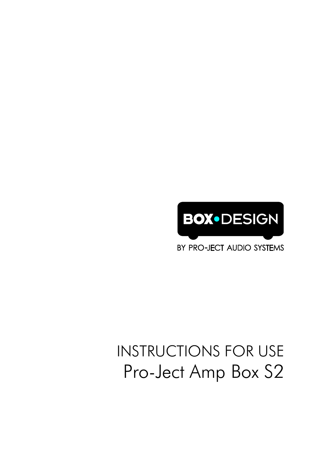

BY PRO-JECT AUDIO SYSTEMS

# INSTRUCTIONS FOR USE Pro-Ject Amp Box S2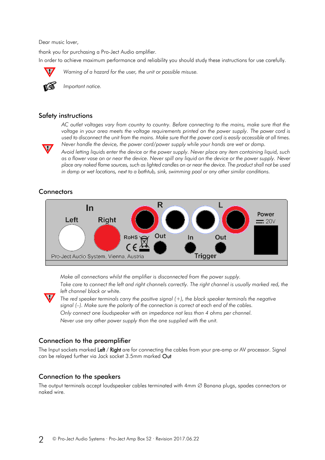Dear music lover,

thank you for purchasing a Pro-Ject Audio amplifier. In order to achieve maximum performance and reliability you should study these instructions for use carefully.



*Warning of a hazard for the user, the unit or possible misuse.*



*Important notice.*

# Safety instructions

*AC outlet voltages vary from country to country. Before connecting to the mains, make sure that the voltage in your area meets the voltage requirements printed on the power supply. The power cord is used to disconnect the unit from the mains. Make sure that the power cord is easily accessible at all times. Never handle the device, the power cord/power supply while your hands are wet or damp.*

*Avoid letting liquids enter the device or the power supply. Never place any item containing liquid, such as a flower vase on or near the device. Never spill any liquid on the device or the power supply. Never place any naked flame sources, such as lighted candles on or near the device. The product shall not be used in damp or wet locations, next to a bathtub, sink, swimming pool or any other similar conditions.*

# **Connectors**



*Make all connections whilst the amplifier is disconnected from the power supply.*

Take care to connect the left and right channels correctly. The right channel is usually marked red, the *left channel black or white.*

*The red speaker terminals carry the positive signal (+), the black speaker terminals the negative signal (–). Make sure the polarity of the connection is correct at each end of the cables. Only connect one loudspeaker with an impedance not less than 4 ohms per channel. Never use any other power supply than the one supplied with the unit.*

# Connection to the preamplifier

The Input sockets marked Left / Right are for connecting the cables from your pre-amp or AV processor. Signal can be relayed further via Jack socket 3.5mm marked Out

# Connection to the speakers

The output terminals accept loudspeaker cables terminated with  $4$ mm  $\varnothing$  Banana plugs, spades connectors or naked wire.